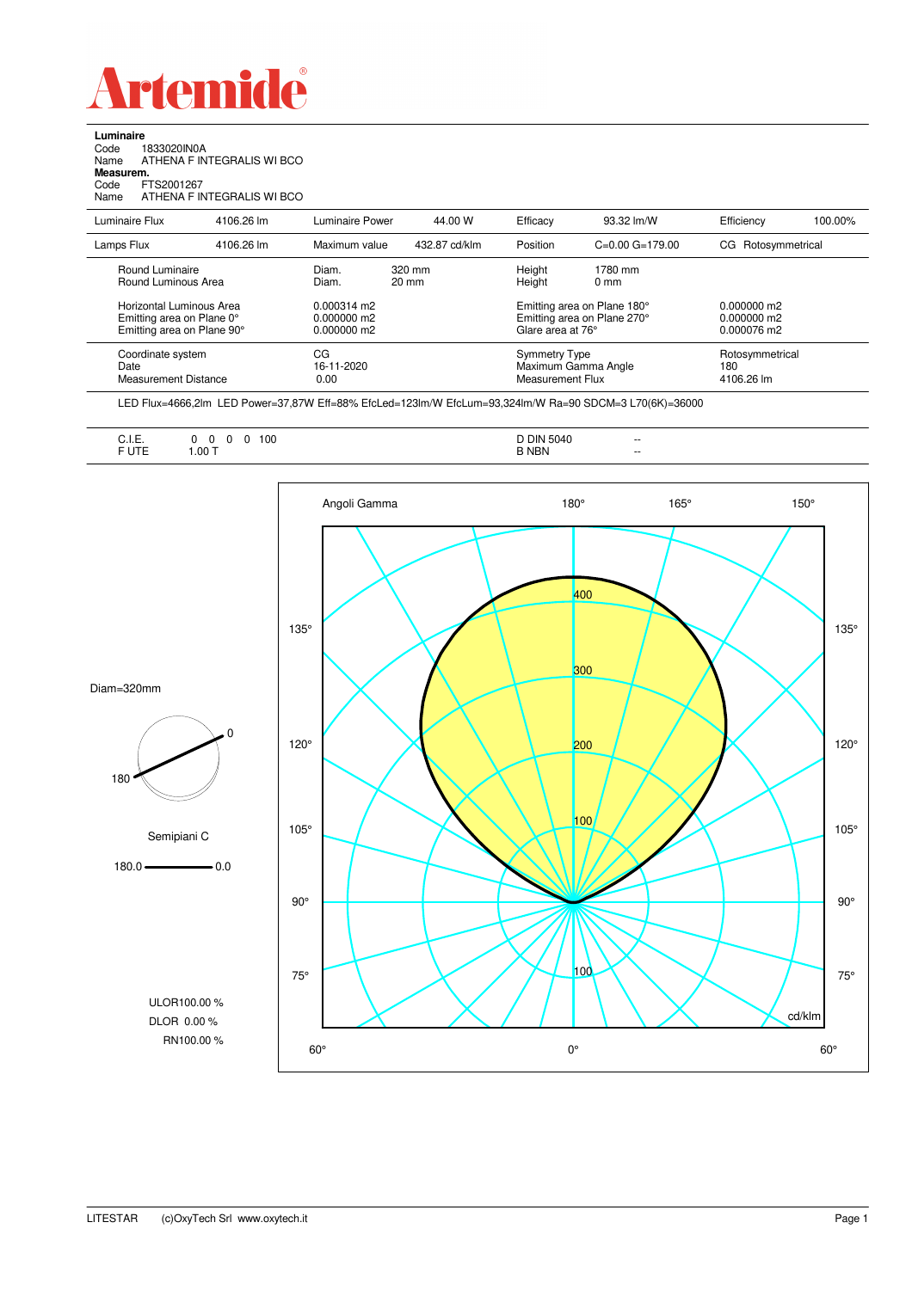

**Luminaire**

 $\overline{a}$ 

| --------<br>FTS2001267                                                              |                                                              |                                                                                                |               |                                                                 |                            |                                                                                 |                    |
|-------------------------------------------------------------------------------------|--------------------------------------------------------------|------------------------------------------------------------------------------------------------|---------------|-----------------------------------------------------------------|----------------------------|---------------------------------------------------------------------------------|--------------------|
|                                                                                     | 4106.26 lm                                                   |                                                                                                | 44.00 W       | Efficacy                                                        | 93.32 lm/W                 | Efficiency                                                                      | 100.00%            |
|                                                                                     | 4106.26 lm                                                   | Maximum value                                                                                  | 432.87 cd/klm | Position                                                        | $C=0.00$ $G=179.00$        |                                                                                 |                    |
|                                                                                     |                                                              | Diam.<br>Diam.                                                                                 |               | Height<br>Height                                                | 1780 mm<br>0 <sub>mm</sub> |                                                                                 |                    |
| Horizontal Luminous Area<br>Emitting area on Plane 0°<br>Emitting area on Plane 90° |                                                              | $0.000314 \text{ m}$<br>0.000000 m2<br>0.000000 m2                                             |               |                                                                 |                            | $0.000000$ m2<br>0.000000 m2<br>0.000076 m2                                     |                    |
| Coordinate system<br>Date<br><b>Measurement Distance</b>                            |                                                              | CG<br>16-11-2020<br>0.00                                                                       |               | Symmetry Type<br>Maximum Gamma Angle<br><b>Measurement Flux</b> |                            | Rotosymmetrical<br>180<br>4106.26 lm                                            |                    |
|                                                                                     | Measurem.<br>Luminaire Flux<br>Lamps Flux<br>Round Luminaire | 1833020IN0A<br>ATHENA F INTEGRALIS WI BCO<br>ATHENA F INTEGRALIS WI BCO<br>Round Luminous Area |               | Luminaire Power<br>320 mm<br>20 mm                              |                            | Emitting area on Plane 180°<br>Emitting area on Plane 270°<br>Glare area at 76° | CG Rotosymmetrical |

LED Flux=4666,2lm LED Power=37,87W Eff=88% EfcLed=123lm/W EfcLum=93,324lm/W Ra=90 SDCM=3 L70(6K)=36000